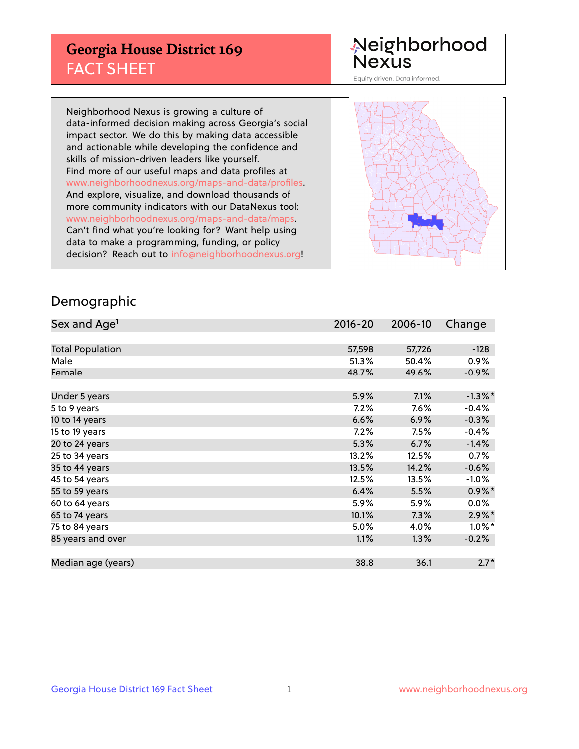## **Georgia House District 169** FACT SHEET

# Neighborhood<br>Nexus

Equity driven. Data informed.

Neighborhood Nexus is growing a culture of data-informed decision making across Georgia's social impact sector. We do this by making data accessible and actionable while developing the confidence and skills of mission-driven leaders like yourself. Find more of our useful maps and data profiles at www.neighborhoodnexus.org/maps-and-data/profiles. And explore, visualize, and download thousands of more community indicators with our DataNexus tool: www.neighborhoodnexus.org/maps-and-data/maps. Can't find what you're looking for? Want help using data to make a programming, funding, or policy decision? Reach out to [info@neighborhoodnexus.org!](mailto:info@neighborhoodnexus.org)



### Demographic

| Sex and Age <sup>1</sup> | $2016 - 20$ | 2006-10 | Change     |
|--------------------------|-------------|---------|------------|
|                          |             |         |            |
| <b>Total Population</b>  | 57,598      | 57,726  | $-128$     |
| Male                     | 51.3%       | 50.4%   | 0.9%       |
| Female                   | 48.7%       | 49.6%   | $-0.9\%$   |
|                          |             |         |            |
| Under 5 years            | 5.9%        | 7.1%    | $-1.3\%$ * |
| 5 to 9 years             | 7.2%        | $7.6\%$ | $-0.4%$    |
| 10 to 14 years           | 6.6%        | 6.9%    | $-0.3%$    |
| 15 to 19 years           | 7.2%        | 7.5%    | $-0.4%$    |
| 20 to 24 years           | 5.3%        | 6.7%    | $-1.4%$    |
| 25 to 34 years           | 13.2%       | 12.5%   | 0.7%       |
| 35 to 44 years           | 13.5%       | 14.2%   | $-0.6%$    |
| 45 to 54 years           | 12.5%       | 13.5%   | $-1.0%$    |
| 55 to 59 years           | 6.4%        | 5.5%    | $0.9\%$ *  |
| 60 to 64 years           | 5.9%        | 5.9%    | 0.0%       |
| 65 to 74 years           | 10.1%       | 7.3%    | $2.9\%$ *  |
| 75 to 84 years           | 5.0%        | 4.0%    | $1.0\%$ *  |
| 85 years and over        | 1.1%        | 1.3%    | $-0.2%$    |
|                          |             |         |            |
| Median age (years)       | 38.8        | 36.1    | $2.7*$     |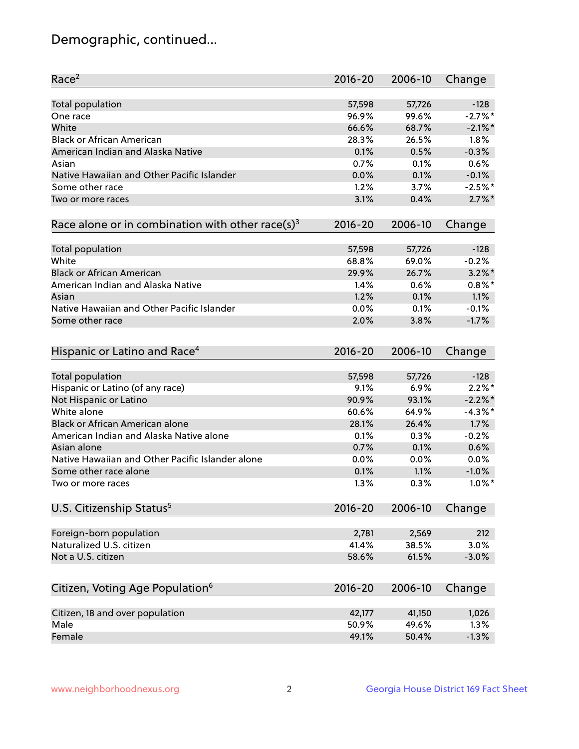## Demographic, continued...

| Race <sup>2</sup>                                            | 2016-20     | 2006-10 | Change     |
|--------------------------------------------------------------|-------------|---------|------------|
| <b>Total population</b>                                      | 57,598      | 57,726  | $-128$     |
| One race                                                     | 96.9%       | 99.6%   | $-2.7%$ *  |
| White                                                        | 66.6%       | 68.7%   | $-2.1\%$ * |
| <b>Black or African American</b>                             | 28.3%       | 26.5%   | 1.8%       |
| American Indian and Alaska Native                            | 0.1%        | 0.5%    | $-0.3%$    |
| Asian                                                        | 0.7%        | 0.1%    | 0.6%       |
| Native Hawaiian and Other Pacific Islander                   | 0.0%        | 0.1%    | $-0.1%$    |
| Some other race                                              | 1.2%        | 3.7%    | $-2.5%$ *  |
| Two or more races                                            | 3.1%        | 0.4%    | $2.7\%$ *  |
| Race alone or in combination with other race(s) <sup>3</sup> | $2016 - 20$ | 2006-10 | Change     |
| <b>Total population</b>                                      | 57,598      | 57,726  | $-128$     |
| White                                                        | 68.8%       | 69.0%   | $-0.2%$    |
| <b>Black or African American</b>                             | 29.9%       | 26.7%   | $3.2\%$ *  |
| American Indian and Alaska Native                            | 1.4%        | 0.6%    | $0.8\%$ *  |
| Asian                                                        | 1.2%        | 0.1%    | 1.1%       |
| Native Hawaiian and Other Pacific Islander                   | 0.0%        | 0.1%    | $-0.1%$    |
| Some other race                                              | 2.0%        | 3.8%    | $-1.7%$    |
| Hispanic or Latino and Race <sup>4</sup>                     | $2016 - 20$ | 2006-10 | Change     |
| <b>Total population</b>                                      | 57,598      | 57,726  | $-128$     |
| Hispanic or Latino (of any race)                             | 9.1%        | 6.9%    | $2.2\%$ *  |
| Not Hispanic or Latino                                       | 90.9%       | 93.1%   | $-2.2\%$ * |
| White alone                                                  | 60.6%       | 64.9%   | $-4.3%$ *  |
| <b>Black or African American alone</b>                       | 28.1%       | 26.4%   | 1.7%       |
| American Indian and Alaska Native alone                      | 0.1%        | 0.3%    | $-0.2%$    |
| Asian alone                                                  | 0.7%        | 0.1%    | 0.6%       |
| Native Hawaiian and Other Pacific Islander alone             | 0.0%        | 0.0%    | 0.0%       |
| Some other race alone                                        | 0.1%        | 1.1%    | $-1.0%$    |
| Two or more races                                            | 1.3%        | 0.3%    | $1.0\%$ *  |
| U.S. Citizenship Status <sup>5</sup>                         | $2016 - 20$ | 2006-10 | Change     |
|                                                              |             |         |            |
| Foreign-born population                                      | 2,781       | 2,569   | 212        |
| Naturalized U.S. citizen                                     | 41.4%       | 38.5%   | 3.0%       |
| Not a U.S. citizen                                           | 58.6%       | 61.5%   | $-3.0%$    |
| Citizen, Voting Age Population <sup>6</sup>                  | 2016-20     | 2006-10 | Change     |
| Citizen, 18 and over population                              | 42,177      | 41,150  | 1,026      |
| Male                                                         | 50.9%       | 49.6%   | 1.3%       |
| Female                                                       | 49.1%       | 50.4%   | $-1.3%$    |
|                                                              |             |         |            |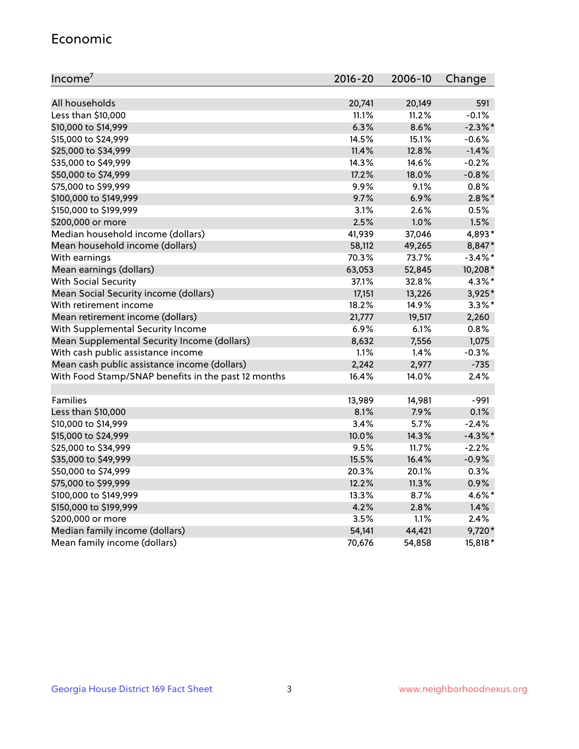#### Economic

| Income <sup>7</sup>                                 | 2016-20 | 2006-10 | Change     |
|-----------------------------------------------------|---------|---------|------------|
|                                                     |         |         |            |
| All households                                      | 20,741  | 20,149  | 591        |
| Less than \$10,000                                  | 11.1%   | 11.2%   | $-0.1%$    |
| \$10,000 to \$14,999                                | 6.3%    | 8.6%    | $-2.3\%$ * |
| \$15,000 to \$24,999                                | 14.5%   | 15.1%   | $-0.6%$    |
| \$25,000 to \$34,999                                | 11.4%   | 12.8%   | $-1.4%$    |
| \$35,000 to \$49,999                                | 14.3%   | 14.6%   | $-0.2%$    |
| \$50,000 to \$74,999                                | 17.2%   | 18.0%   | $-0.8%$    |
| \$75,000 to \$99,999                                | 9.9%    | 9.1%    | 0.8%       |
| \$100,000 to \$149,999                              | 9.7%    | 6.9%    | $2.8\%$ *  |
| \$150,000 to \$199,999                              | 3.1%    | 2.6%    | 0.5%       |
| \$200,000 or more                                   | 2.5%    | 1.0%    | 1.5%       |
| Median household income (dollars)                   | 41,939  | 37,046  | 4,893*     |
| Mean household income (dollars)                     | 58,112  | 49,265  | 8,847*     |
| With earnings                                       | 70.3%   | 73.7%   | $-3.4\%$ * |
| Mean earnings (dollars)                             | 63,053  | 52,845  | 10,208*    |
| <b>With Social Security</b>                         | 37.1%   | 32.8%   | 4.3%*      |
| Mean Social Security income (dollars)               | 17,151  | 13,226  | 3,925*     |
| With retirement income                              | 18.2%   | 14.9%   | $3.3\%$ *  |
| Mean retirement income (dollars)                    | 21,777  | 19,517  | 2,260      |
| With Supplemental Security Income                   | 6.9%    | 6.1%    | 0.8%       |
| Mean Supplemental Security Income (dollars)         | 8,632   | 7,556   | 1,075      |
| With cash public assistance income                  | 1.1%    | 1.4%    | $-0.3%$    |
| Mean cash public assistance income (dollars)        | 2,242   | 2,977   | $-735$     |
| With Food Stamp/SNAP benefits in the past 12 months | 16.4%   | 14.0%   | 2.4%       |
|                                                     |         |         |            |
| Families                                            | 13,989  | 14,981  | $-991$     |
| Less than \$10,000                                  | 8.1%    | 7.9%    | 0.1%       |
| \$10,000 to \$14,999                                | 3.4%    | 5.7%    | $-2.4%$    |
| \$15,000 to \$24,999                                | 10.0%   | 14.3%   | $-4.3\%$ * |
| \$25,000 to \$34,999                                | 9.5%    | 11.7%   | $-2.2%$    |
| \$35,000 to \$49,999                                | 15.5%   | 16.4%   | $-0.9%$    |
| \$50,000 to \$74,999                                | 20.3%   | 20.1%   | 0.3%       |
| \$75,000 to \$99,999                                | 12.2%   | 11.3%   | 0.9%       |
| \$100,000 to \$149,999                              | 13.3%   | 8.7%    | 4.6%*      |
| \$150,000 to \$199,999                              | 4.2%    | 2.8%    | 1.4%       |
| \$200,000 or more                                   | 3.5%    | 1.1%    | 2.4%       |
| Median family income (dollars)                      | 54,141  | 44,421  | 9,720*     |
| Mean family income (dollars)                        | 70,676  | 54,858  | 15,818*    |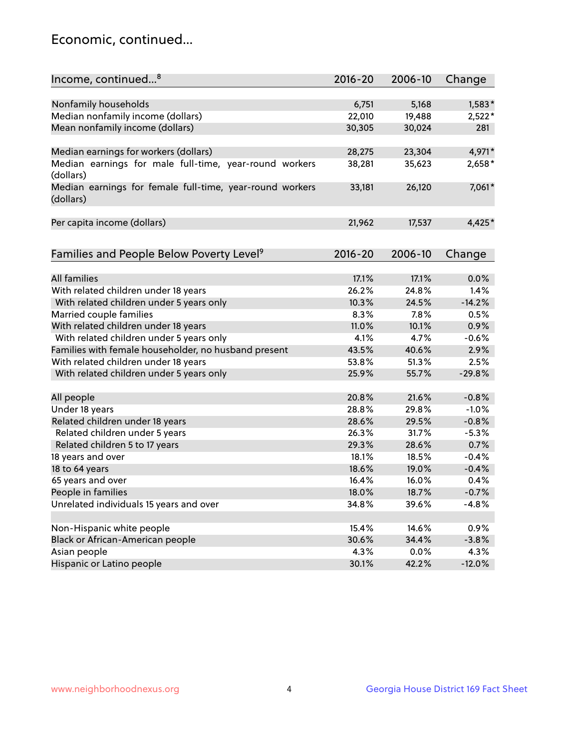## Economic, continued...

| Income, continued <sup>8</sup>                           | $2016 - 20$ | 2006-10 | Change   |
|----------------------------------------------------------|-------------|---------|----------|
|                                                          |             |         |          |
| Nonfamily households                                     | 6,751       | 5,168   | $1,583*$ |
|                                                          |             |         |          |
| Median nonfamily income (dollars)                        | 22,010      | 19,488  | $2,522*$ |
| Mean nonfamily income (dollars)                          | 30,305      | 30,024  | 281      |
| Median earnings for workers (dollars)                    | 28,275      | 23,304  | 4,971*   |
| Median earnings for male full-time, year-round workers   | 38,281      | 35,623  | 2,658*   |
| (dollars)                                                |             |         |          |
| Median earnings for female full-time, year-round workers | 33,181      | 26,120  | 7,061*   |
| (dollars)                                                |             |         |          |
|                                                          |             |         |          |
| Per capita income (dollars)                              | 21,962      | 17,537  | 4,425*   |
|                                                          |             |         |          |
|                                                          |             |         |          |
| Families and People Below Poverty Level <sup>9</sup>     | $2016 - 20$ | 2006-10 | Change   |
|                                                          |             |         |          |
| <b>All families</b>                                      | 17.1%       | 17.1%   | 0.0%     |
| With related children under 18 years                     | 26.2%       | 24.8%   | 1.4%     |
| With related children under 5 years only                 | 10.3%       | 24.5%   | $-14.2%$ |
| Married couple families                                  | 8.3%        | 7.8%    | 0.5%     |
| With related children under 18 years                     | 11.0%       | 10.1%   | 0.9%     |
| With related children under 5 years only                 | 4.1%        | 4.7%    | $-0.6%$  |
| Families with female householder, no husband present     | 43.5%       | 40.6%   | 2.9%     |
| With related children under 18 years                     | 53.8%       | 51.3%   | 2.5%     |
| With related children under 5 years only                 | 25.9%       | 55.7%   | $-29.8%$ |
|                                                          |             |         |          |
| All people                                               | 20.8%       | 21.6%   | $-0.8%$  |
| Under 18 years                                           | 28.8%       | 29.8%   | $-1.0%$  |
| Related children under 18 years                          | 28.6%       | 29.5%   | $-0.8%$  |
| Related children under 5 years                           | 26.3%       | 31.7%   | $-5.3%$  |
| Related children 5 to 17 years                           | 29.3%       | 28.6%   | 0.7%     |
| 18 years and over                                        | 18.1%       | 18.5%   | $-0.4%$  |
| 18 to 64 years                                           | 18.6%       | 19.0%   | $-0.4%$  |
| 65 years and over                                        | 16.4%       | 16.0%   | 0.4%     |
| People in families                                       | 18.0%       | 18.7%   | $-0.7%$  |
| Unrelated individuals 15 years and over                  | 34.8%       | 39.6%   | $-4.8%$  |
|                                                          |             |         |          |
| Non-Hispanic white people                                | 15.4%       | 14.6%   | 0.9%     |
| Black or African-American people                         | 30.6%       | 34.4%   | $-3.8%$  |
| Asian people                                             | 4.3%        | 0.0%    | 4.3%     |
| Hispanic or Latino people                                | 30.1%       | 42.2%   | $-12.0%$ |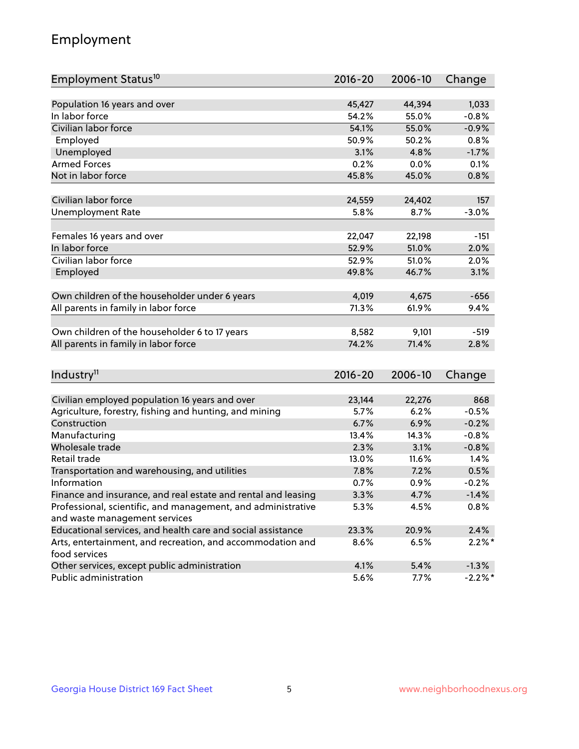## Employment

| Employment Status <sup>10</sup>                               | $2016 - 20$    | 2006-10        | Change    |
|---------------------------------------------------------------|----------------|----------------|-----------|
|                                                               |                |                |           |
| Population 16 years and over                                  | 45,427         | 44,394         | 1,033     |
| In labor force                                                | 54.2%          | 55.0%          | $-0.8%$   |
| Civilian labor force                                          | 54.1%          | 55.0%          | $-0.9%$   |
| Employed                                                      | 50.9%          | 50.2%          | 0.8%      |
| Unemployed                                                    | 3.1%           | 4.8%           | $-1.7%$   |
| <b>Armed Forces</b>                                           | 0.2%           | 0.0%           | 0.1%      |
| Not in labor force                                            | 45.8%          | 45.0%          | 0.8%      |
|                                                               |                |                |           |
| Civilian labor force                                          | 24,559         | 24,402         | 157       |
| <b>Unemployment Rate</b>                                      | 5.8%           | 8.7%           | $-3.0%$   |
|                                                               |                |                |           |
| Females 16 years and over                                     | 22,047         | 22,198         | -151      |
| In labor force                                                | 52.9%          | 51.0%          | 2.0%      |
| Civilian labor force                                          | 52.9%          | 51.0%          | 2.0%      |
| Employed                                                      | 49.8%          | 46.7%          | 3.1%      |
|                                                               |                |                |           |
| Own children of the householder under 6 years                 | 4,019<br>71.3% | 4,675<br>61.9% | $-656$    |
| All parents in family in labor force                          |                |                | 9.4%      |
| Own children of the householder 6 to 17 years                 | 8,582          | 9,101          | $-519$    |
| All parents in family in labor force                          | 74.2%          | 71.4%          | 2.8%      |
|                                                               |                |                |           |
|                                                               |                |                |           |
| Industry <sup>11</sup>                                        | $2016 - 20$    | 2006-10        | Change    |
| Civilian employed population 16 years and over                | 23,144         | 22,276         | 868       |
| Agriculture, forestry, fishing and hunting, and mining        | 5.7%           | 6.2%           | $-0.5%$   |
| Construction                                                  | 6.7%           | 6.9%           | $-0.2%$   |
| Manufacturing                                                 | 13.4%          | 14.3%          | $-0.8%$   |
| Wholesale trade                                               | 2.3%           | 3.1%           | $-0.8%$   |
| Retail trade                                                  | 13.0%          | 11.6%          | 1.4%      |
| Transportation and warehousing, and utilities                 | 7.8%           | 7.2%           | 0.5%      |
| Information                                                   | 0.7%           | 0.9%           | $-0.2%$   |
| Finance and insurance, and real estate and rental and leasing | 3.3%           | 4.7%           | $-1.4%$   |
| Professional, scientific, and management, and administrative  | 5.3%           | 4.5%           | 0.8%      |
| and waste management services                                 |                |                |           |
| Educational services, and health care and social assistance   | 23.3%          | 20.9%          | 2.4%      |
| Arts, entertainment, and recreation, and accommodation and    | 8.6%           | 6.5%           | $2.2\%$ * |
| food services                                                 |                |                |           |
| Other services, except public administration                  | 4.1%           | 5.4%           | $-1.3%$   |
| Public administration                                         | 5.6%           | 7.7%           | $-2.2%$ * |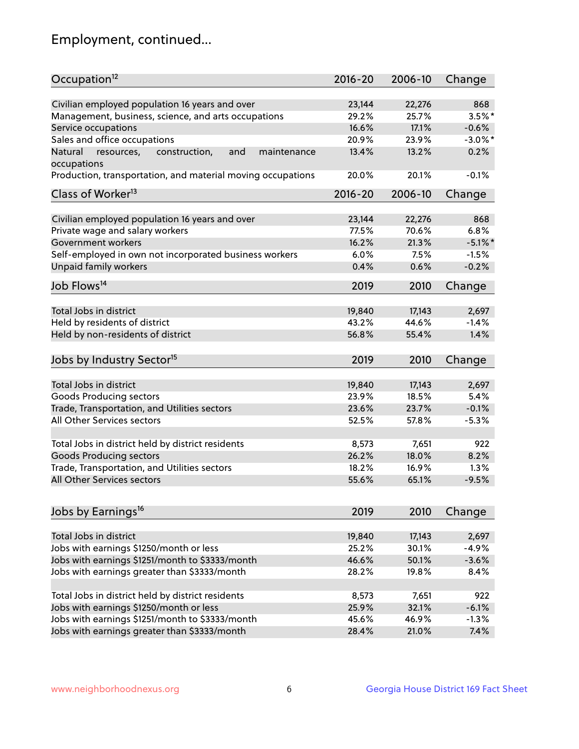## Employment, continued...

| Occupation <sup>12</sup>                                                    | $2016 - 20$ | 2006-10 | Change     |
|-----------------------------------------------------------------------------|-------------|---------|------------|
| Civilian employed population 16 years and over                              | 23,144      | 22,276  | 868        |
| Management, business, science, and arts occupations                         | 29.2%       | 25.7%   | $3.5\%$ *  |
| Service occupations                                                         | 16.6%       | 17.1%   | $-0.6%$    |
| Sales and office occupations                                                | 20.9%       | 23.9%   | $-3.0\%$ * |
|                                                                             |             |         | 0.2%       |
| Natural<br>and<br>resources,<br>construction,<br>maintenance<br>occupations | 13.4%       | 13.2%   |            |
| Production, transportation, and material moving occupations                 | 20.0%       | 20.1%   | $-0.1%$    |
| Class of Worker <sup>13</sup>                                               | $2016 - 20$ | 2006-10 | Change     |
|                                                                             |             |         |            |
| Civilian employed population 16 years and over                              | 23,144      | 22,276  | 868        |
| Private wage and salary workers                                             | 77.5%       | 70.6%   | 6.8%       |
| Government workers                                                          | 16.2%       | 21.3%   | $-5.1\%$ * |
| Self-employed in own not incorporated business workers                      | 6.0%        | 7.5%    | $-1.5%$    |
| Unpaid family workers                                                       | 0.4%        | 0.6%    | $-0.2%$    |
| Job Flows <sup>14</sup>                                                     | 2019        | 2010    | Change     |
|                                                                             |             |         |            |
| Total Jobs in district                                                      | 19,840      | 17,143  | 2,697      |
| Held by residents of district                                               | 43.2%       | 44.6%   | $-1.4%$    |
| Held by non-residents of district                                           | 56.8%       | 55.4%   | 1.4%       |
| Jobs by Industry Sector <sup>15</sup>                                       | 2019        | 2010    | Change     |
|                                                                             |             |         |            |
| Total Jobs in district                                                      | 19,840      | 17,143  | 2,697      |
| Goods Producing sectors                                                     | 23.9%       | 18.5%   | 5.4%       |
| Trade, Transportation, and Utilities sectors                                | 23.6%       | 23.7%   | $-0.1%$    |
| All Other Services sectors                                                  | 52.5%       | 57.8%   | $-5.3%$    |
|                                                                             |             |         |            |
| Total Jobs in district held by district residents                           | 8,573       | 7,651   | 922        |
| <b>Goods Producing sectors</b>                                              | 26.2%       | 18.0%   | 8.2%       |
| Trade, Transportation, and Utilities sectors                                | 18.2%       | 16.9%   | 1.3%       |
| All Other Services sectors                                                  | 55.6%       | 65.1%   | $-9.5%$    |
| Jobs by Earnings <sup>16</sup>                                              | 2019        | 2010    | Change     |
|                                                                             |             |         |            |
| Total Jobs in district                                                      | 19,840      | 17,143  | 2,697      |
| Jobs with earnings \$1250/month or less                                     | 25.2%       | 30.1%   | $-4.9%$    |
| Jobs with earnings \$1251/month to \$3333/month                             | 46.6%       | 50.1%   | $-3.6%$    |
| Jobs with earnings greater than \$3333/month                                | 28.2%       | 19.8%   | 8.4%       |
|                                                                             |             |         |            |
| Total Jobs in district held by district residents                           | 8,573       | 7,651   | 922        |
| Jobs with earnings \$1250/month or less                                     | 25.9%       | 32.1%   | $-6.1%$    |
| Jobs with earnings \$1251/month to \$3333/month                             | 45.6%       | 46.9%   | $-1.3%$    |
| Jobs with earnings greater than \$3333/month                                | 28.4%       | 21.0%   | 7.4%       |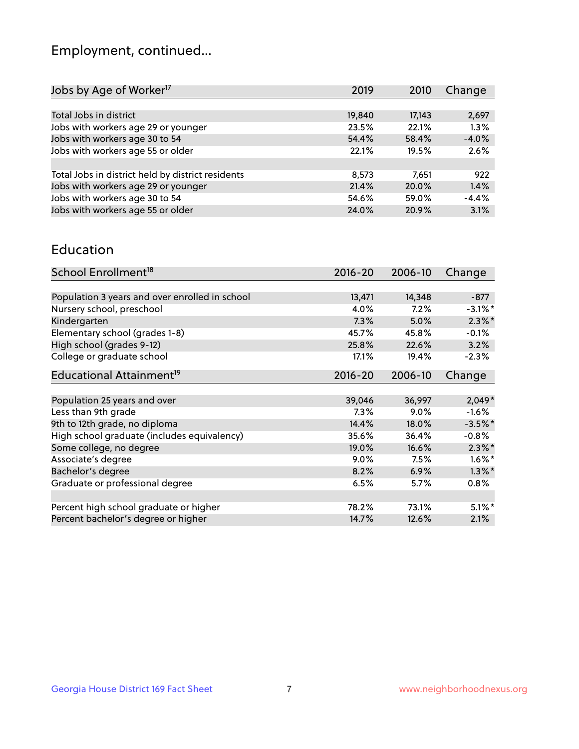## Employment, continued...

| Jobs by Age of Worker <sup>17</sup>               | 2019   | 2010   | Change  |
|---------------------------------------------------|--------|--------|---------|
|                                                   |        |        |         |
| Total Jobs in district                            | 19,840 | 17,143 | 2,697   |
| Jobs with workers age 29 or younger               | 23.5%  | 22.1%  | 1.3%    |
| Jobs with workers age 30 to 54                    | 54.4%  | 58.4%  | $-4.0%$ |
| Jobs with workers age 55 or older                 | 22.1%  | 19.5%  | 2.6%    |
|                                                   |        |        |         |
| Total Jobs in district held by district residents | 8,573  | 7,651  | 922     |
| Jobs with workers age 29 or younger               | 21.4%  | 20.0%  | 1.4%    |
| Jobs with workers age 30 to 54                    | 54.6%  | 59.0%  | $-4.4%$ |
| Jobs with workers age 55 or older                 | 24.0%  | 20.9%  | 3.1%    |
|                                                   |        |        |         |

#### Education

| School Enrollment <sup>18</sup>                | 2016-20     | 2006-10 | Change     |
|------------------------------------------------|-------------|---------|------------|
|                                                |             |         |            |
| Population 3 years and over enrolled in school | 13,471      | 14,348  | $-877$     |
| Nursery school, preschool                      | 4.0%        | 7.2%    | $-3.1\%$ * |
| Kindergarten                                   | 7.3%        | 5.0%    | $2.3\%$ *  |
| Elementary school (grades 1-8)                 | 45.7%       | 45.8%   | $-0.1%$    |
| High school (grades 9-12)                      | 25.8%       | 22.6%   | 3.2%       |
| College or graduate school                     | 17.1%       | 19.4%   | $-2.3%$    |
| Educational Attainment <sup>19</sup>           | $2016 - 20$ | 2006-10 | Change     |
|                                                |             |         |            |
| Population 25 years and over                   | 39,046      | 36,997  | $2,049*$   |
| Less than 9th grade                            | 7.3%        | $9.0\%$ | $-1.6%$    |
| 9th to 12th grade, no diploma                  | 14.4%       | 18.0%   | $-3.5%$ *  |
| High school graduate (includes equivalency)    | 35.6%       | 36.4%   | $-0.8%$    |
| Some college, no degree                        | 19.0%       | 16.6%   | $2.3\%$ *  |
| Associate's degree                             | 9.0%        | 7.5%    | $1.6\%$ *  |
| Bachelor's degree                              | 8.2%        | 6.9%    | $1.3\%$ *  |
| Graduate or professional degree                | 6.5%        | 5.7%    | $0.8\%$    |
|                                                |             |         |            |
| Percent high school graduate or higher         | 78.2%       | 73.1%   | $5.1\%$ *  |
| Percent bachelor's degree or higher            | 14.7%       | 12.6%   | 2.1%       |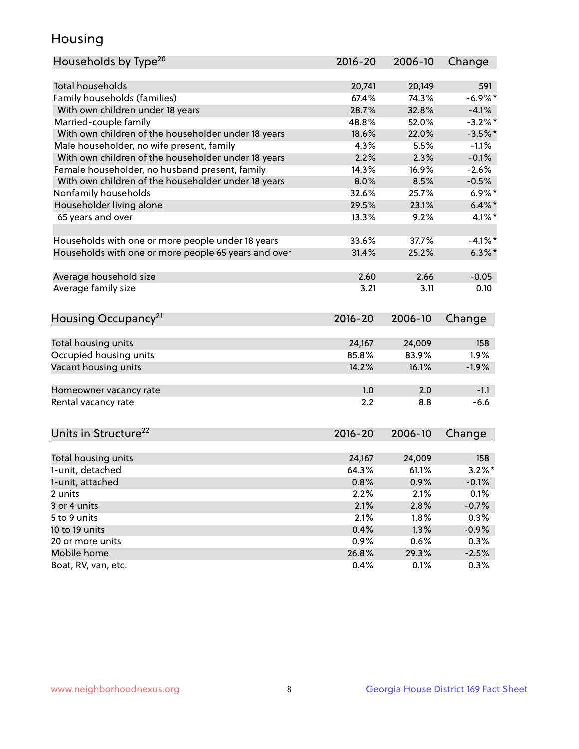## Housing

| Households by Type <sup>20</sup>                     | 2016-20     | 2006-10 | Change     |
|------------------------------------------------------|-------------|---------|------------|
|                                                      |             |         |            |
| <b>Total households</b>                              | 20,741      | 20,149  | 591        |
| Family households (families)                         | 67.4%       | 74.3%   | $-6.9\%$ * |
| With own children under 18 years                     | 28.7%       | 32.8%   | $-4.1%$    |
| Married-couple family                                | 48.8%       | 52.0%   | $-3.2%$ *  |
| With own children of the householder under 18 years  | 18.6%       | 22.0%   | $-3.5%$ *  |
| Male householder, no wife present, family            | 4.3%        | 5.5%    | $-1.1%$    |
| With own children of the householder under 18 years  | 2.2%        | 2.3%    | $-0.1%$    |
| Female householder, no husband present, family       | 14.3%       | 16.9%   | $-2.6%$    |
| With own children of the householder under 18 years  | 8.0%        | 8.5%    | $-0.5%$    |
| Nonfamily households                                 | 32.6%       | 25.7%   | $6.9\%$ *  |
| Householder living alone                             | 29.5%       | 23.1%   | $6.4\%$ *  |
| 65 years and over                                    | 13.3%       | 9.2%    | $4.1\%$ *  |
|                                                      |             |         |            |
| Households with one or more people under 18 years    | 33.6%       | 37.7%   | $-4.1\%$ * |
| Households with one or more people 65 years and over | 31.4%       | 25.2%   | $6.3\%$ *  |
|                                                      |             |         |            |
| Average household size                               | 2.60        | 2.66    | $-0.05$    |
| Average family size                                  | 3.21        | 3.11    | 0.10       |
|                                                      |             |         |            |
| Housing Occupancy <sup>21</sup>                      | $2016 - 20$ | 2006-10 | Change     |
|                                                      |             |         |            |
| Total housing units                                  | 24,167      | 24,009  | 158        |
| Occupied housing units                               | 85.8%       | 83.9%   | 1.9%       |
| Vacant housing units                                 | 14.2%       | 16.1%   | $-1.9%$    |
| Homeowner vacancy rate                               | 1.0         | 2.0     | $-1.1$     |
| Rental vacancy rate                                  | 2.2         | 8.8     | $-6.6$     |
|                                                      |             |         |            |
| Units in Structure <sup>22</sup>                     | 2016-20     | 2006-10 | Change     |
|                                                      |             |         |            |
| Total housing units                                  | 24,167      | 24,009  | 158        |
| 1-unit, detached                                     | 64.3%       | 61.1%   | $3.2\%$ *  |
| 1-unit, attached                                     | 0.8%        | 0.9%    | $-0.1%$    |
| 2 units                                              | 2.2%        | 2.1%    | 0.1%       |
| 3 or 4 units                                         | 2.1%        | 2.8%    | $-0.7%$    |
| 5 to 9 units                                         | 2.1%        | $1.8\%$ | 0.3%       |
| 10 to 19 units                                       | 0.4%        | 1.3%    | $-0.9%$    |
| 20 or more units                                     | 0.9%        | 0.6%    | 0.3%       |
| Mobile home                                          | 26.8%       | 29.3%   | $-2.5%$    |
| Boat, RV, van, etc.                                  | 0.4%        | 0.1%    | 0.3%       |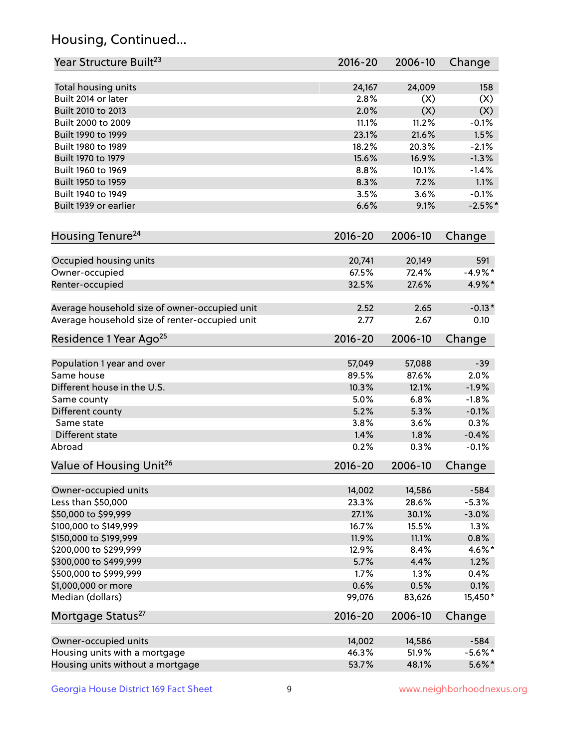## Housing, Continued...

| Year Structure Built <sup>23</sup>             | 2016-20        | 2006-10 | Change     |
|------------------------------------------------|----------------|---------|------------|
|                                                |                |         |            |
| Total housing units<br>Built 2014 or later     | 24,167<br>2.8% | 24,009  | 158        |
|                                                |                | (X)     | (X)        |
| Built 2010 to 2013                             | 2.0%           | (X)     | (X)        |
| Built 2000 to 2009                             | 11.1%          | 11.2%   | $-0.1%$    |
| Built 1990 to 1999                             | 23.1%          | 21.6%   | 1.5%       |
| Built 1980 to 1989                             | 18.2%          | 20.3%   | $-2.1%$    |
| Built 1970 to 1979                             | 15.6%          | 16.9%   | $-1.3%$    |
| Built 1960 to 1969                             | 8.8%           | 10.1%   | $-1.4%$    |
| Built 1950 to 1959                             | 8.3%           | 7.2%    | 1.1%       |
| Built 1940 to 1949                             | 3.5%           | 3.6%    | $-0.1%$    |
| Built 1939 or earlier                          | 6.6%           | 9.1%    | $-2.5%$    |
| Housing Tenure <sup>24</sup>                   | $2016 - 20$    | 2006-10 | Change     |
| Occupied housing units                         | 20,741         | 20,149  | 591        |
| Owner-occupied                                 | 67.5%          | 72.4%   | $-4.9%$ *  |
| Renter-occupied                                | 32.5%          | 27.6%   | 4.9%*      |
| Average household size of owner-occupied unit  | 2.52           | 2.65    | $-0.13*$   |
| Average household size of renter-occupied unit | 2.77           | 2.67    | 0.10       |
| Residence 1 Year Ago <sup>25</sup>             | $2016 - 20$    | 2006-10 | Change     |
| Population 1 year and over                     | 57,049         | 57,088  | $-39$      |
| Same house                                     | 89.5%          | 87.6%   | 2.0%       |
| Different house in the U.S.                    | 10.3%          | 12.1%   | $-1.9%$    |
| Same county                                    | 5.0%           | 6.8%    | $-1.8%$    |
| Different county                               | 5.2%           | 5.3%    | $-0.1%$    |
| Same state                                     | 3.8%           | 3.6%    | 0.3%       |
| Different state                                | 1.4%           | 1.8%    | $-0.4%$    |
| Abroad                                         | 0.2%           | 0.3%    | $-0.1%$    |
|                                                |                |         |            |
| Value of Housing Unit <sup>26</sup>            | $2016 - 20$    | 2006-10 | Change     |
| Owner-occupied units                           | 14,002         | 14,586  | $-584$     |
| Less than \$50,000                             | 23.3%          | 28.6%   | $-5.3%$    |
| \$50,000 to \$99,999                           | 27.1%          | 30.1%   | $-3.0%$    |
| \$100,000 to \$149,999                         | 16.7%          | 15.5%   | 1.3%       |
| \$150,000 to \$199,999                         | 11.9%          | 11.1%   | 0.8%       |
| \$200,000 to \$299,999                         | 12.9%          | 8.4%    | 4.6%*      |
| \$300,000 to \$499,999                         | 5.7%           | 4.4%    | 1.2%       |
| \$500,000 to \$999,999                         | 1.7%           | 1.3%    | 0.4%       |
|                                                | 0.6%           | 0.5%    | 0.1%       |
| \$1,000,000 or more                            |                |         |            |
| Median (dollars)                               | 99,076         | 83,626  | 15,450*    |
| Mortgage Status <sup>27</sup>                  | $2016 - 20$    | 2006-10 | Change     |
| Owner-occupied units                           | 14,002         | 14,586  | $-584$     |
| Housing units with a mortgage                  | 46.3%          | 51.9%   | $-5.6\%$ * |
| Housing units without a mortgage               | 53.7%          | 48.1%   | $5.6\%$ *  |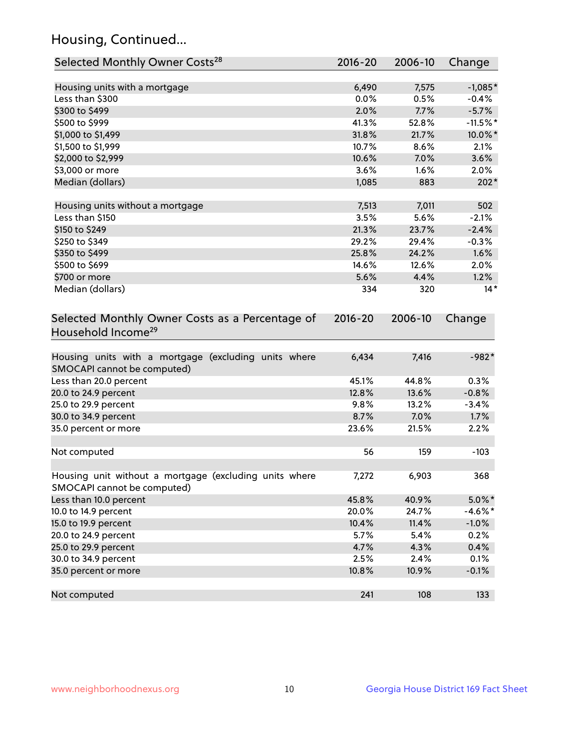## Housing, Continued...

| Selected Monthly Owner Costs <sup>28</sup>                                            | 2016-20     | 2006-10 | Change     |
|---------------------------------------------------------------------------------------|-------------|---------|------------|
| Housing units with a mortgage                                                         | 6,490       | 7,575   | $-1,085*$  |
| Less than \$300                                                                       | 0.0%        | 0.5%    | $-0.4%$    |
| \$300 to \$499                                                                        | 2.0%        | 7.7%    | $-5.7%$    |
| \$500 to \$999                                                                        | 41.3%       | 52.8%   | $-11.5%$ * |
| \$1,000 to \$1,499                                                                    | 31.8%       | 21.7%   | 10.0%*     |
| \$1,500 to \$1,999                                                                    | 10.7%       | 8.6%    | 2.1%       |
| \$2,000 to \$2,999                                                                    | 10.6%       | 7.0%    | 3.6%       |
| \$3,000 or more                                                                       | 3.6%        | 1.6%    | 2.0%       |
| Median (dollars)                                                                      | 1,085       | 883     | $202*$     |
|                                                                                       |             |         |            |
| Housing units without a mortgage                                                      | 7,513       | 7,011   | 502        |
| Less than \$150                                                                       | 3.5%        | 5.6%    | $-2.1%$    |
| \$150 to \$249                                                                        | 21.3%       | 23.7%   | $-2.4%$    |
| \$250 to \$349                                                                        | 29.2%       | 29.4%   | $-0.3%$    |
| \$350 to \$499                                                                        | 25.8%       | 24.2%   | 1.6%       |
| \$500 to \$699                                                                        | 14.6%       | 12.6%   | 2.0%       |
| \$700 or more                                                                         | 5.6%        | 4.4%    | 1.2%       |
| Median (dollars)                                                                      | 334         | 320     | $14*$      |
| Selected Monthly Owner Costs as a Percentage of<br>Household Income <sup>29</sup>     | $2016 - 20$ | 2006-10 | Change     |
| Housing units with a mortgage (excluding units where<br>SMOCAPI cannot be computed)   | 6,434       | 7,416   | $-982*$    |
| Less than 20.0 percent                                                                | 45.1%       | 44.8%   | 0.3%       |
| 20.0 to 24.9 percent                                                                  | 12.8%       | 13.6%   | $-0.8%$    |
| 25.0 to 29.9 percent                                                                  | 9.8%        | 13.2%   | $-3.4%$    |
| 30.0 to 34.9 percent                                                                  | 8.7%        | 7.0%    | 1.7%       |
| 35.0 percent or more                                                                  | 23.6%       | 21.5%   | 2.2%       |
| Not computed                                                                          | 56          | 159     | $-103$     |
| Housing unit without a mortgage (excluding units where<br>SMOCAPI cannot be computed) | 7,272       | 6,903   | 368        |
| Less than 10.0 percent                                                                | 45.8%       | 40.9%   | $5.0\%$ *  |
| 10.0 to 14.9 percent                                                                  | 20.0%       | 24.7%   | $-4.6\%$ * |
| 15.0 to 19.9 percent                                                                  | 10.4%       | 11.4%   | $-1.0%$    |
| 20.0 to 24.9 percent                                                                  | 5.7%        | 5.4%    | 0.2%       |
| 25.0 to 29.9 percent                                                                  | 4.7%        | 4.3%    | 0.4%       |
| 30.0 to 34.9 percent                                                                  | 2.5%        | 2.4%    | 0.1%       |
| 35.0 percent or more                                                                  | 10.8%       | 10.9%   | $-0.1%$    |
| Not computed                                                                          | 241         | 108     | 133        |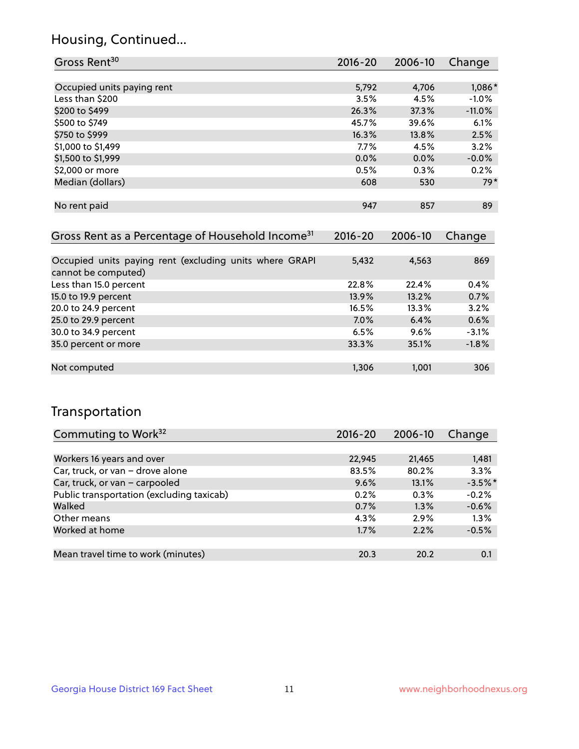## Housing, Continued...

| Gross Rent <sup>30</sup>   | 2016-20 | 2006-10 | Change   |
|----------------------------|---------|---------|----------|
|                            |         |         |          |
| Occupied units paying rent | 5,792   | 4,706   | 1,086*   |
| Less than \$200            | 3.5%    | 4.5%    | $-1.0%$  |
| \$200 to \$499             | 26.3%   | 37.3%   | $-11.0%$ |
| \$500 to \$749             | 45.7%   | 39.6%   | 6.1%     |
| \$750 to \$999             | 16.3%   | 13.8%   | 2.5%     |
| \$1,000 to \$1,499         | 7.7%    | 4.5%    | 3.2%     |
| \$1,500 to \$1,999         | 0.0%    | $0.0\%$ | $-0.0%$  |
| \$2,000 or more            | 0.5%    | 0.3%    | 0.2%     |
| Median (dollars)           | 608     | 530     | $79*$    |
|                            |         |         |          |
| No rent paid               | 947     | 857     | 89       |
|                            |         |         |          |

| Gross Rent as a Percentage of Household Income <sup>31</sup>                   | $2016 - 20$ | 2006-10 | Change  |
|--------------------------------------------------------------------------------|-------------|---------|---------|
|                                                                                |             |         |         |
| Occupied units paying rent (excluding units where GRAPI<br>cannot be computed) | 5,432       | 4,563   | 869     |
| Less than 15.0 percent                                                         | 22.8%       | 22.4%   | 0.4%    |
| 15.0 to 19.9 percent                                                           | 13.9%       | 13.2%   | 0.7%    |
| 20.0 to 24.9 percent                                                           | 16.5%       | 13.3%   | 3.2%    |
| 25.0 to 29.9 percent                                                           | 7.0%        | 6.4%    | 0.6%    |
| 30.0 to 34.9 percent                                                           | 6.5%        | 9.6%    | $-3.1%$ |
| 35.0 percent or more                                                           | 33.3%       | 35.1%   | $-1.8%$ |
|                                                                                |             |         |         |
| Not computed                                                                   | 1,306       | 1.001   | 306     |

## Transportation

| Commuting to Work <sup>32</sup>           | 2016-20 | 2006-10 | Change    |
|-------------------------------------------|---------|---------|-----------|
|                                           |         |         |           |
| Workers 16 years and over                 | 22,945  | 21,465  | 1,481     |
| Car, truck, or van - drove alone          | 83.5%   | 80.2%   | 3.3%      |
| Car, truck, or van - carpooled            | 9.6%    | 13.1%   | $-3.5%$ * |
| Public transportation (excluding taxicab) | 0.2%    | $0.3\%$ | $-0.2%$   |
| Walked                                    | 0.7%    | 1.3%    | $-0.6%$   |
| Other means                               | $4.3\%$ | 2.9%    | 1.3%      |
| Worked at home                            | $1.7\%$ | 2.2%    | $-0.5%$   |
|                                           |         |         |           |
| Mean travel time to work (minutes)        | 20.3    | 20.2    | 0.1       |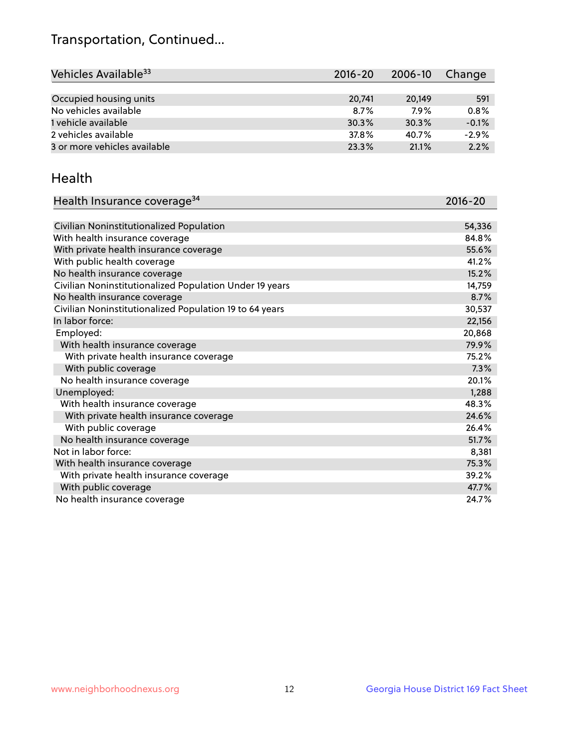## Transportation, Continued...

| Vehicles Available <sup>33</sup> | 2016-20 | 2006-10 | Change  |
|----------------------------------|---------|---------|---------|
|                                  |         |         |         |
| Occupied housing units           | 20,741  | 20.149  | 591     |
| No vehicles available            | 8.7%    | 7.9%    | 0.8%    |
| 1 vehicle available              | 30.3%   | 30.3%   | $-0.1%$ |
| 2 vehicles available             | 37.8%   | 40.7%   | $-2.9%$ |
| 3 or more vehicles available     | 23.3%   | 21.1%   | 2.2%    |

#### Health

| Health Insurance coverage <sup>34</sup>                 | 2016-20 |
|---------------------------------------------------------|---------|
|                                                         |         |
| Civilian Noninstitutionalized Population                | 54,336  |
| With health insurance coverage                          | 84.8%   |
| With private health insurance coverage                  | 55.6%   |
| With public health coverage                             | 41.2%   |
| No health insurance coverage                            | 15.2%   |
| Civilian Noninstitutionalized Population Under 19 years | 14,759  |
| No health insurance coverage                            | 8.7%    |
| Civilian Noninstitutionalized Population 19 to 64 years | 30,537  |
| In labor force:                                         | 22,156  |
| Employed:                                               | 20,868  |
| With health insurance coverage                          | 79.9%   |
| With private health insurance coverage                  | 75.2%   |
| With public coverage                                    | 7.3%    |
| No health insurance coverage                            | 20.1%   |
| Unemployed:                                             | 1,288   |
| With health insurance coverage                          | 48.3%   |
| With private health insurance coverage                  | 24.6%   |
| With public coverage                                    | 26.4%   |
| No health insurance coverage                            | 51.7%   |
| Not in labor force:                                     | 8,381   |
| With health insurance coverage                          | 75.3%   |
| With private health insurance coverage                  | 39.2%   |
| With public coverage                                    | 47.7%   |
| No health insurance coverage                            | 24.7%   |